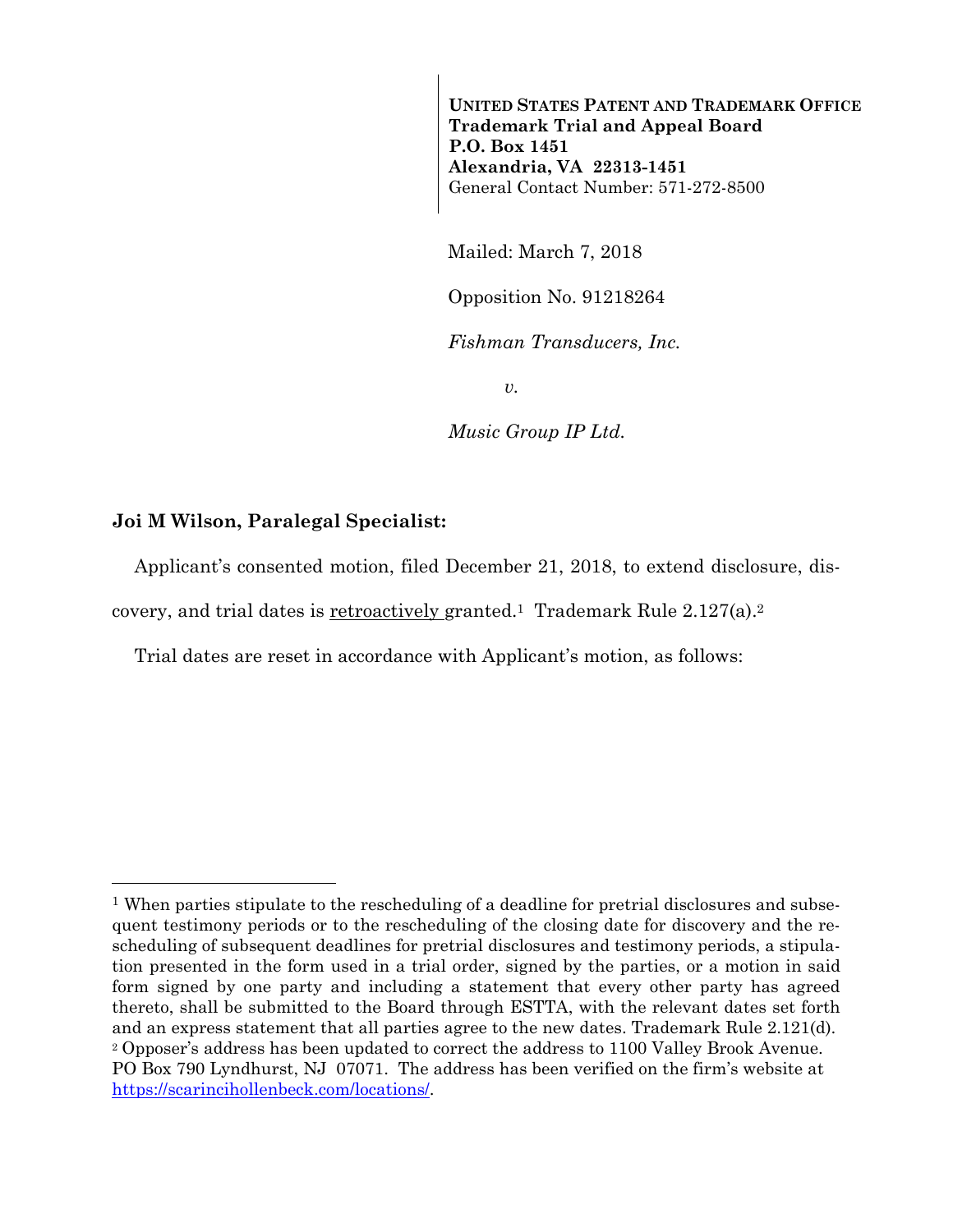**UNITED STATES PATENT AND TRADEMARK OFFICE Trademark Trial and Appeal Board P.O. Box 1451 Alexandria, VA 22313-1451**  General Contact Number: 571-272-8500

Mailed: March 7, 2018

Opposition No. 91218264

*Fishman Transducers, Inc.* 

*v.* 

*Music Group IP Ltd.* 

## **Joi M Wilson, Paralegal Specialist:**

 $\overline{a}$ 

Applicant's consented motion, filed December 21, 2018, to extend disclosure, dis-

covery, and trial dates is retroactively granted.1 Trademark Rule 2.127(a).2

Trial dates are reset in accordance with Applicant's motion, as follows:

<sup>&</sup>lt;sup>1</sup> When parties stipulate to the rescheduling of a deadline for pretrial disclosures and subsequent testimony periods or to the rescheduling of the closing date for discovery and the rescheduling of subsequent deadlines for pretrial disclosures and testimony periods, a stipulation presented in the form used in a trial order, signed by the parties, or a motion in said form signed by one party and including a statement that every other party has agreed thereto, shall be submitted to the Board through ESTTA, with the relevant dates set forth and an express statement that all parties agree to the new dates. Trademark Rule 2.121(d). <sup>2</sup> Opposer's address has been updated to correct the address to 1100 Valley Brook Avenue. PO Box 790 Lyndhurst, NJ 07071. The address has been verified on the firm's website at https://scarincihollenbeck.com/locations/.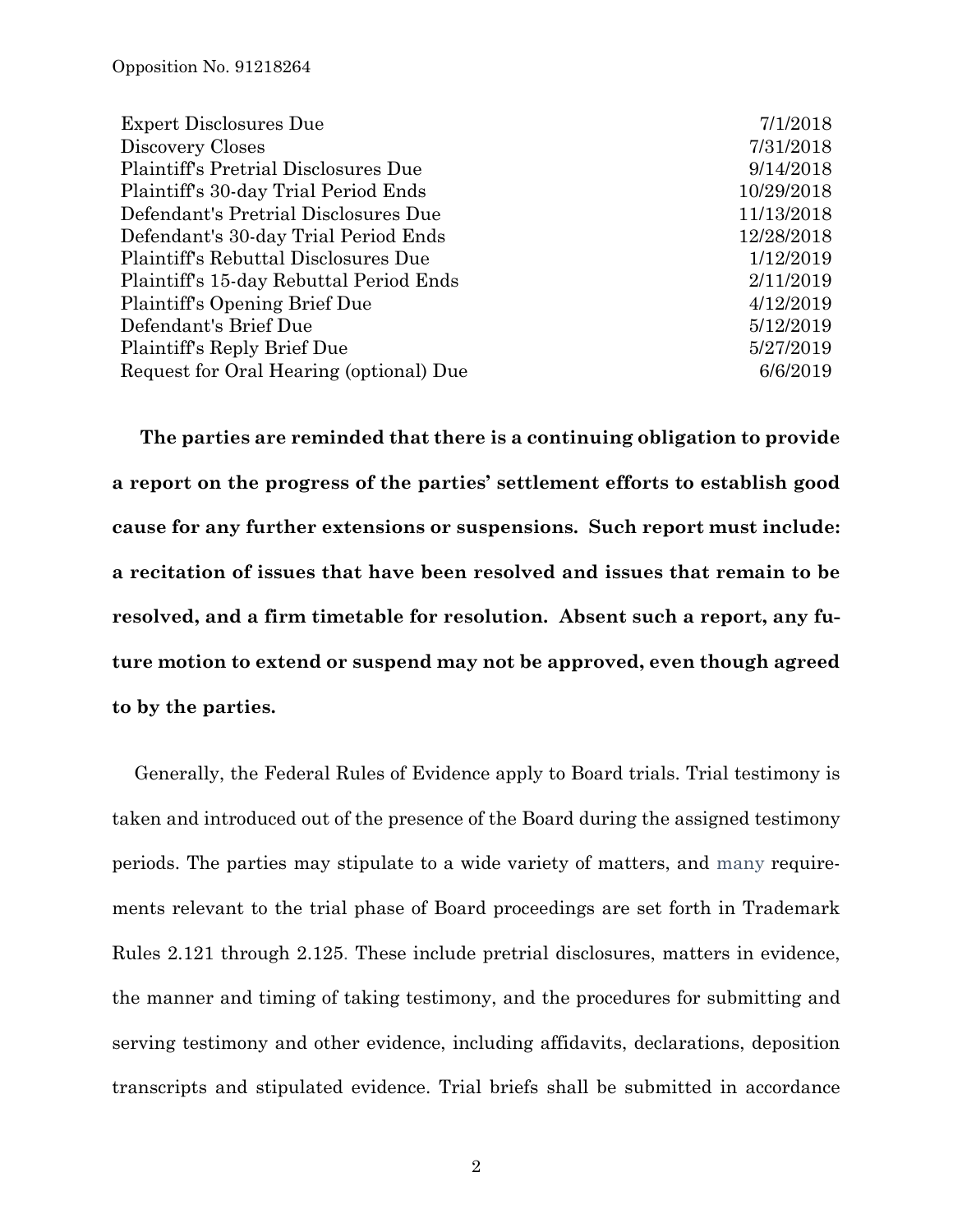| 7/1/2018   |
|------------|
| 7/31/2018  |
| 9/14/2018  |
| 10/29/2018 |
| 11/13/2018 |
| 12/28/2018 |
| 1/12/2019  |
| 2/11/2019  |
| 4/12/2019  |
| 5/12/2019  |
| 5/27/2019  |
| 6/6/2019   |
|            |

**The parties are reminded that there is a continuing obligation to provide a report on the progress of the parties' settlement efforts to establish good cause for any further extensions or suspensions. Such report must include: a recitation of issues that have been resolved and issues that remain to be resolved, and a firm timetable for resolution. Absent such a report, any future motion to extend or suspend may not be approved, even though agreed to by the parties.** 

Generally, the Federal Rules of Evidence apply to Board trials. Trial testimony is taken and introduced out of the presence of the Board during the assigned testimony periods. The parties may stipulate to a wide variety of matters, and many requirements relevant to the trial phase of Board proceedings are set forth in Trademark Rules 2.121 through 2.125. These include pretrial disclosures, matters in evidence, the manner and timing of taking testimony, and the procedures for submitting and serving testimony and other evidence, including affidavits, declarations, deposition transcripts and stipulated evidence. Trial briefs shall be submitted in accordance